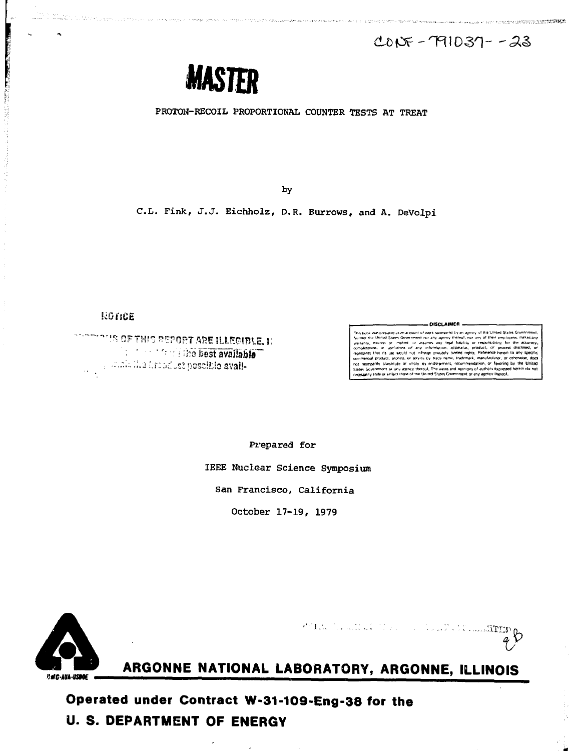The company of the state of the street, and the participate of the state of



PROTON-RECOIL PROPORTIONAL COUNTER TESTS AT TREAT

by

C.L. Fink, J.J. Eichholz, D.R. Burrows, and A. DeVolpi

# ROTICE

**PERMIT AND PERSON** 

**NOTIFIES OF THIS REPORT ARE ILLEGIBLE, II Sales available** premiuma froncust poscible avail-

#### **DISCLAIMER**

vinwred by an avery of the United States Gov **Specific** tate or reflect those of the United States Go

Prepared for

IEEE Nuclear Science Symposium

San Francisco, California

October 17-19, 1979



POINT OF THE REPORT OF THE STREET

ARGONNE NATIONAL LABORATORY, ARGONNE, ILLINOIS

Operated under Contract W-31-109-Eng-38 for the **U. S. DEPARTMENT OF ENERGY**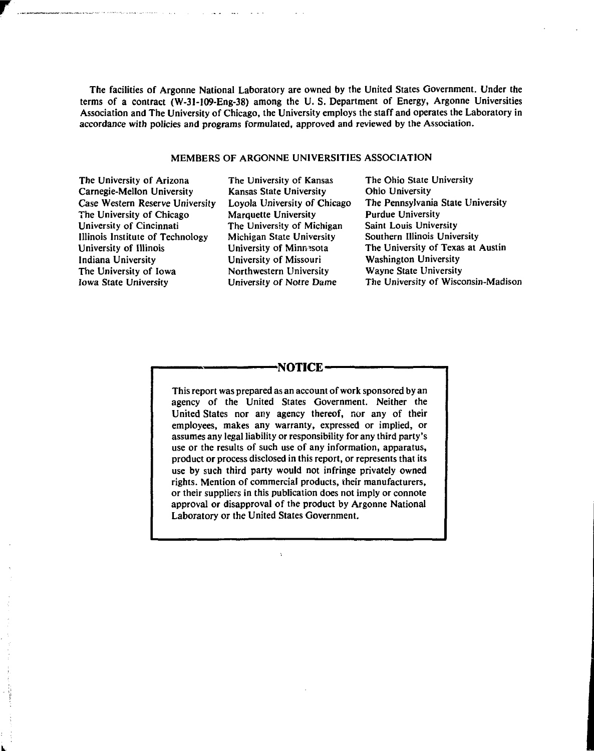The facilities of Argonne National Laboratory are owned by the United States Government. Under the terms of a contract (W-31-109-Eng-38) among the U. S. Department of Energy, Argonne Universities Association and The University of Chicago, the University employs the staff and operates the Laboratory in accordance with policies and programs formulated, approved and reviewed by the Association.

# MEMBERS OF ARGONNE UNIVERSITIES ASSOCIATION

The University of Arizona Carnegie-Mellon University Case Western Reserve University The University of Chicago University of Cincinnati Illinois Institute of Technology University of Illinois Indiana University The University of Iowa Iowa State University

The University of Kansas Kansas State University Loyola University of Chicago Marquette University The University of Michigan Michigan State University University of Minnesota University of Missouri Northwestern University University of Notre Dame

The Ohio State University Ohio University The Pennsylvania State University Purdue University Saint Louis University Southern Illinois University The University of Texas at Austin Washington University Wayne State University The University of Wisconsin-Madison

# **-NOTICE-**

This report was prepared as an account of work sponsored by an agency of the United States Government. Neither the United States nor any agency thereof, nor any of their employees, makes any warranty, expressed or implied, or assumes any legal liability or responsibility for any third party's use or the results of such use of any information, apparatus, product or process disclosed in this report, or represents that its use by such third party would not infringe privately owned rights. Mention of commercial products, their manufacturers, or their suppliers in this publication does not imply or connote approval or disapproval of the product by Argonne National Laboratory or the United States Government.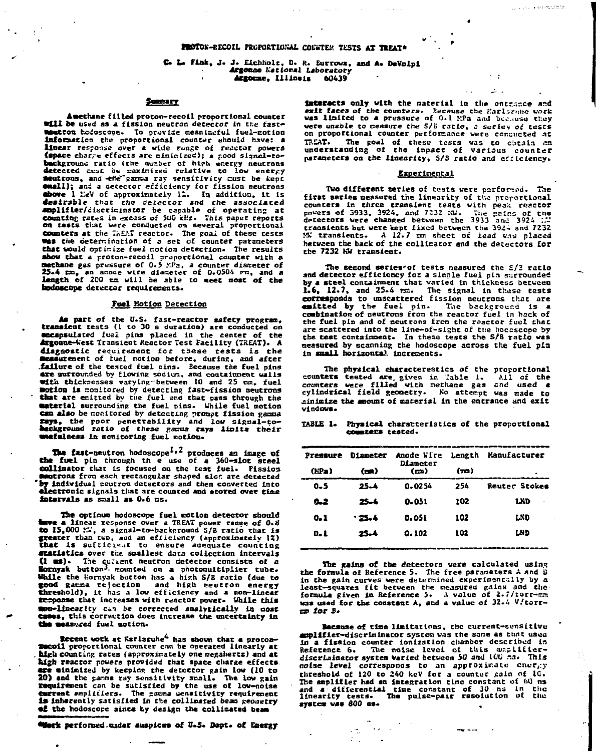## C. L. Fink. J. J. Eichholz, D. R. Surrows, and A. DeVolpi Argonne Kational Laboratory Argonne, Illineis 60439

## **SHEEREY**

Amethane filled proton-recoil proportional counter will be used as a fission neutron detector in the fastmeutron hodoscope. To provide meaningful fuel-motion information the proportional counter should have: a linear response over a wide runge of reactor powers (space charge effects are ninimized); a good signal-tobeckground ratio (the number of high energy neutrons<br>detected cust be naximized relative to low energy<br>mentions, and -effet gamma ray sensitivity cust be kept **Chall);** and a detector efficiency for fission neutrons<br>**above** 1 leV of approximately 12. In addition, it is desirable that the detector and the associated applifier/discriminator be capable of operating at<br>counting rates in excess of 500 kHz. This paper reports on tests that were conducted on several proportional counters at the TAEAT reactor. The goal of these tests<br>Was the determination of a set of counter parameters that would optimize fuel motion detection. The results show that a proton-recoil proportional counter with a<br>methane gas pressure of 0.5 MPa, a counter diameter of 25.4 En, an anode wire diameter of 0.0504 Fm, and a hodoscope detector requirements.

## Fuel Motion Detection

As part of the U.S. fast-reactor safety program,<br>transient tests (1 to 30 s duration) are conducted on cocapsulated fuel pins placed in the center of the Argonne-West Transient Reactor Test Facility (TREAT). A diagnostic requirement for these rests is the measurement of fuel motion before, during, and after stature of the tested fuel pins. Because the fuel pins<br>are autrounded by flowing sodium, and containment walls with thicknesses varying between 10 and 25 cm, fuel<br>motion is conitored by detecting fast-fission neutrons that are enitted by the fuel and that pass through the material surrounding the fuel pins. While fuel motion can also be monitored by detecting prompt fission gamma Eays, the poor penetrability and low signal-to-<br>beckground ratio of these gamma rays linits their<br>wefulness in monitoring fuel motion.

The fast-neutron hodoscope<sup>1,2</sup> produces an image of the fuel pin through the use of a 360-slot steel collimator that is focused on the test fuel. Fission autrons from each rectangular shaped slot are detected by individual neutron detectors and then converted into electronic signals that are counted and stored over time intervals as small as 0.6 ms.

The optimum hodoscope fuel motion detector should have a linear response over a TREAT power range of 0.8 to 15,000 :.., a signal-to-background S/B ratio that is greater than two, and an efficiency (approximately 12)<br>that is sufficient to ensure adequate counting statistics over the smallest data collection intervals statistics over the smallest data collection intervals<br>(1 ms). The current neutron detector consists of a<br>lornyak button<sup>3</sup>, mounted on a photonultiplier tube-<br>While the lornyak button has a high S/B ratio (due to<br>good gam mon-linearity can be corrected snalytically in most<br>cases, this correction does increase the uncertainty in the measured fuel motion.

Recent work at Karlsruhe<sup>4</sup> has shown that a protonmecoil proportional counter can be operated linearly at high counting rates (approximately one megahertz) and at high reactor powers provided that space charge effects. are minimized by keeping the detector gain low (10 to 20) and the gamma ray sensitivity small. The low gain requirement can be sutisfied by the use of low-noise current empliciers. The gamma wensitivity requirement is inherently satisfied in the collimated beam reometry of the hodoscope since by design the collinated beam

"Werk performed under auspices of U.S. Dopt. of Energy

interacts only with the material in the entrance and exit faces of the counters. Because the Earlschuse work<br>was limited to a pressure of 0.1 HPa and because they were unable to neasure the 5/8 ratio, a series of tests<br>on proportional counter performance were consucted at our production and the second services was to obtain an understanding of the impact of various counter parameters on the linearity, S/S ratio and efficiency.

.<br>Linda eeskatate

o e  $\sim$ 

#### Experimental

Two different series of tests were performed. The first series measured the linearity of the preportional counters in three transfent tests with peak reactor<br>powers of 3933, 3924, and 7232 MJ. The gains of the<br>detectors were changed between the 3933 and 3924 MJ. transients but were kept fixed between the  $3924$  and  $7232$ <br>MW transients. A 12.7 mm sheet of lead was placed between the back of the collimator and the detectors for the 7232 MW transient.

The second series of tests neasured the S/2 ratio and detector efficiency for a single fuel pin surrounded by a steel containment that varied in thickness between  $1.6$ , 12.7, and 25.4 mm. The signal in these tests estimated by the fuel pin. The background is a contraryonal to unscale fuel pin. The background is a the fuel pin and of neutrons from the reactor fuel that are scattered into the line-of-sight of the hocescope by the test containment. In these tests the S/B ratio was measured by scanning the hodoscope across the fuel pin in small horizontal increnents.

The physical characterestics of the proportional counters tested are given in Table 1. All of the cylindrical field geometry. No attempt was made to ainizize the amount of material in the entrance and exit  $vidndous.$ 

#### TABLE 1. Physical characteristics of the proportional counters tested.

| Pressure   | Diameter | Anode Wire<br>Diameter | Length | Manufacturer  |  |
|------------|----------|------------------------|--------|---------------|--|
| (HPa)      | (m)      | (m)                    | (mn)   | ٠             |  |
| $0 - 5$    | 25.4     | 0.0254                 | 254    | Reuter Stokes |  |
| <b>0.2</b> | 25.4     | 0.051                  | 102    | <b>LND</b>    |  |
| $0 - 1$    | . 25.4   | 0.051                  | 102    | LND           |  |
| 0. L       | 25.4     | 0.102                  | 102    | LND           |  |
|            |          |                        |        |               |  |

The gains of the detectors were calculated using the formula of Reference 5. The free parameters A and B in the gain curves were determined experimentally by a least-squares fit between the measured pains and the-<br>formula given in Reference 5. A value of 2.7/torr-ma was used for the constant A, and a value of 32.4 V/torr $m$  for  $B$ .

Because of time limitations, the current-sensitive aplifier-discriminator system was the same as that used In a fission counter ionization chamber described in<br>Reference 6. The noise level of this amplifier-<br>discriminator system varied between 50 and 100 ma. This noise level corresponds to an approximate energy threshold of 120 to 240 keV for a counter gain of 10. The amplifier had an integration time constant of 60 ns and a differential time constant of 30 ns in the linearity tests. The pulse-pair resolution of the linearity tests.<br>system was 800 ds.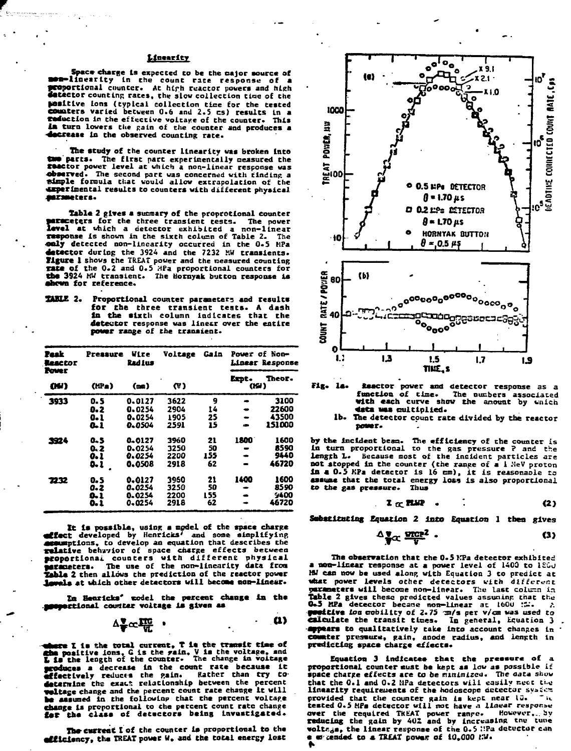### **ttnearltr**

**Space- charge la expected to be the major source of •••linearity in the count rate response of •coportional counter. At htph reactor powers and high detector counting rates, the slow collection time of the positive Ions (typical collection tlce for the tested counters varied between 0.6 and 2.5 cs) results In a (eduction In the effective voltage of the counter. This 1m turn lowers the Rain of die counter and produces a decrease in the observed counting rate.**

**The study of the counter linearity was broken Into tM parts. The first part experimentally aeasured the (•actor power level at which a non-linear response was observed.** The second part was concerned with finding a simple formula that would allow extrapolation of the **«xperlnencal results to counters witb different physical a\*rsaccers.**

**Table 2 gives a summary of the proprotional counter example of the three transient tests. level at which a detector exhibited a non-linear response is shown in the sixth column of Table 2. The colly detected non-linearity occurred in the 0.5 HPa detector during the 3924 and the 7232 MW transients. Tlguxe 1 shows the TREAT power and the measured counting rate of the 0.2 and 0.5 MPa proportional counters for the 3924 MW transient. The Hornyak button response is •4mm for reference.**

**XULE 2. Proportional counter parameters and results for the three transient tests. A dash In the sixth column indicates that the detector response was linesr over the entire powtr range of the transient.**

| Peak<br><b>Reactor</b><br><b>Power</b><br>GW) | Pressure<br>$(\mathbf{f} \mathbf{P} \mathbf{a})$ | Wire<br><b>Radius</b><br>(m) | Voltage<br>W) | Gain |               | Power of Non-<br>Linear Response |
|-----------------------------------------------|--------------------------------------------------|------------------------------|---------------|------|---------------|----------------------------------|
|                                               |                                                  |                              |               |      | Expt.<br>(KH) | Theor.                           |
| 3933                                          | D. 5                                             | 0.0127                       | 3622          | 9    |               | 3100                             |
|                                               | 0.2                                              | 0.0254                       | 2904          | 14   |               | 22600                            |
|                                               | 0. l                                             | 0.0254                       | 1905          | 25   | -             | 43500                            |
|                                               | <b>a.i</b>                                       | 0.0504                       | 2591          | 15   |               | 151000                           |
| 2924                                          | 0.5                                              | 0.0127                       | 3960          | 21   | 1800          | 1600                             |
|                                               | 0. 2                                             | 0.0254                       | 3250          | 50   |               | 8590                             |
|                                               | 0.1                                              | 0.0254                       | 2200          | 155  |               | 9440                             |
|                                               | O. 1                                             | 0.0508                       | 2918          | 62   |               | 46720                            |
| 7232                                          | o. s                                             | 0.0127                       | 3960          | 21   | 1400          | 1600                             |
|                                               | 0.2                                              | 0.0254                       | 3250          | 50   |               | 8590                             |
|                                               | 0.1                                              | 0.0254                       | 2200          | 155  |               | 9400                             |
|                                               | 0. 1                                             | 0.0254                       | 2918          | 62   |               | 46720                            |

**Xt la possible, using a model of the space charge etffect developed by Henrlets' and some simplifying accumptions, to develop an equation that describes the relative behavior of space charge effects between •COportionai counters with different physical •araoeters. The use of the non-linearity data froa Table 2 then allows the prediction of the reactor power 1awals at which other detectors will become non-linear.** 

**2a Heartcks' model the percent change in the proportional counter voltage is given as** 

$$
\Delta \frac{\mathbf{v}}{\mathbf{v}} \propto \frac{\mathbf{v}}{\mathbf{v}} \quad \text{or} \quad \mathbf{v} \tag{1}
$$

**: Chere I is the total current, T is the transit time of** the positive ions, G is the rain, V is the voltage, and L is the length of the counter. The change in voltage **produces a decrease In the count rate because it Effectively reduces the pain. Rather than cry to determine the exact relationship between the percent voltage change and the peccent count rate change It will be assumed in the folloulnp that the percent voltape Change Is proportional to the percent count rate change |«r the class of detectors being investigated.**

The current I of the counter is proportional to the **«££ ldsncy, the TREAT power u. and the total energy lost**



**Fig. la. Seactor power and detector response as a function of time. The oucbers associated with each curve show the anount by wnich 4ata uas oultlplied.**

**lb. The detector count rate divided by the reactor power.**

**by the Incident beam. The efficiency of the counter is In turn proportional co the gas pressure ? and the length L. Because most of the Incident particles are not stopped in the counter (the range of a 1 .'ieV proton In a 0.5 KPa detector is 16 cm), it is reasonaoie za assume that the total energy loss is also proportional to the gas pressure. Thus**

> $T \propto 100$  $(2)$

**Sebatituting Equation 2 into Equation 1 then gives** 

$$
\Delta \frac{\mathbf{v}}{\mathbf{v}} \propto \frac{\mathbf{v} \cdot \mathbf{c}}{\mathbf{v}} \quad . \tag{3}
$$

**The observation that the 0.5 KPa detector exhibited a non-linear response at a power level of 1400 to 1200 HU can now be used along with Equation 3 to predict ac** what power levels other detectors with different **parameters will become non-linear. Thu last column in Table 2 gives these predicted values assuninp that the 0»5 MPa detector became non-linear ac 160U :r~°. /. faetCive ion mobility of 2.75 ra/a per v/cm was used to calculate the transit tines. In general. Equation 3 -appears to qualitatively take into account changes in coiatter prcsmurie, gain, anode radius, and length in predicting space charge effects.**

**Equation 3 indicates that the pressure of a. proportional counter mist be kept as law as possible it space charfte effects are to be minimized. The aaza show that the 0.1 and 0.2 HPa detectors will easily cucc ti.o linearity requirements of the hodoscope detector system**<br>mrovided that the counter gain is kept near lG. The provided that the counter gain is kept near lo. tested 0.5 HPa detector will not have a linear response **over the required TKEAT power range.** However, by<br>**reducing the gain by 4U2 and by increasing the tune**<br>**voltags, the linear response of the 0.5 :!Pa detector can • ei-tended to a TX£AT power of 10.000 t?J.**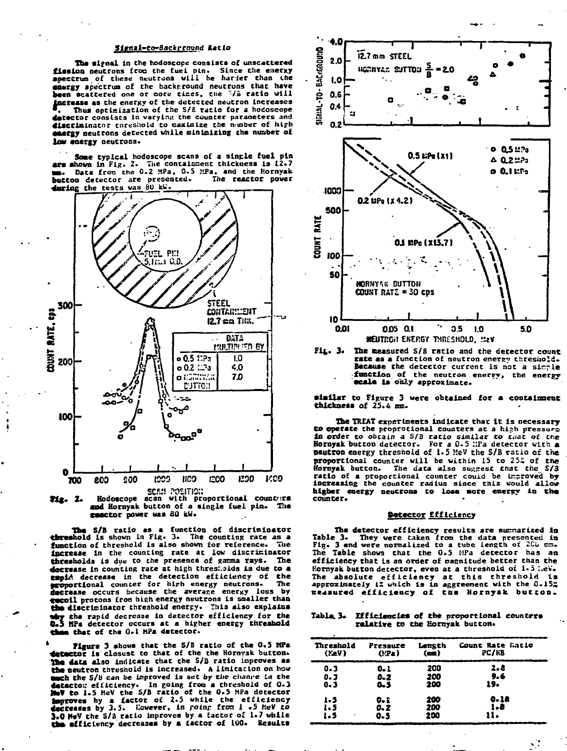## Sienal-to-Backrround Batio

The signal in the hodoscope consists of unscattered distinct of the first public plus interest of the energy spectrum of these neutrons will be harder than the spectrum of these neutrons will be norted that have<br>castgy spectrum of the background neutrons that have increase as the energy of the detected neutron increases Thus optimization of the S/2 ratio for a hodoscope detector consists in varying the counter parameters and discriminator enreshold to caximize the number of high castly neutrons detected while minimizing the number of low energy neutrons.

Some typical hodoscope scans of a single fuel pin<br>are shown in Fig. 2. The containment thickness is i2.7 are soown in rig. 2. and conteinment thickness is 12.7<br>mm. Data from the 0.2 MPa, 0.5 MPa, and the Hornyak<br>button detector are presented. The reactor power during the tests was 80 kW.



Pix. 2. and Hornyak button of a single fuel pin. The genetor power was 80 kW.

The S/B ratio as a function of discriminator<br>threshold is shown in Fig. 3. The counting rate as a<br>function of threshold is also shown for reference. The increase in the counting rate at low discriminator thresholds is due to the presence of gamma rays. The decrease in counting rate at high thresholds is due to a capid decrease in the detection efficiency of the say the counter for high energy neutrons. The<br>**proportional** counter for high energy neutrons. The scoil protons from high energy neutrons is smaller than the discriminator threshold energy. This also explains thy the rapid decrease in detector efficiency for the<br>Q.5 HPa detector occurs at a higher energy threshold a that of the 0.1 HPa detector.

Figure 3 shows that the S/B ratio of the 0.5 MPa letector is closust to that of the the Hornyak button. The data also indicate that the S/B ratio improves as the neutron threshold is increased. A limitation on how the neutron threshold is increased. A limitation on how<br>
such the  $S/B$  can be improved is set by the change in<br>
detector efficiency. In going from a threshold of 0.3<br>
NeV to 1.5 MeV the  $S/B$  ratio of the 0.5 MPa detector<br> the efficiency decreases by a factor of 100. Results



Fir. 3. The measured S/B ratio and the detector count rate as a function of neutron energy threshold. Because the detector current is not a simple struction of the neutron energy, the energy<br>ecale is only approximate.

similar to Figure 3 were obtained for a containment thickness of 25.4 mm.

The TREAT experiments indicate that it is necessary to operate the proprotional counters at a high pressure in order to obtain a S/B ratio similar to that of the Hornyak button detector. For a 0.5 WPa detector with a neutron energy threshold of 1.5 MeV the S/B ratio of the proportional counter will be within 15 to 25% of the Hornyak button. The data also suggest that the S/3 ratio of a proportional counter could be improved by increasing the counter radius since this would allow higher energy neutrons to lose more energy in the counter.

## Datector Efficiency

The detector efficiency results are summarized in Table 3. They were taken from the data presented in<br>Fig. 3 and were normalized to a tube length of 2Co mm. The Table shows that the 0.5 MPa detector has an efficiency that is an order of magnitude better than the Rornyak button detector, even at a threshold of 1.5 hev. The absolute efficiency at this threshold is<br>approximately 12 which is in aggreement with the 0.15% measured efficiency of the Hornyak button.

Table 3. Efficiencies of the proportional counters relative to the Hornyak button.

| Threshold<br>(XeV) | Pressure<br>(FPa) | Length<br>$($ ma $)$ | Count Rate Latio<br>PC/HB |  |
|--------------------|-------------------|----------------------|---------------------------|--|
| $0 - 3$            | $0 - 1$           | 200                  | 2.8                       |  |
| 0.3<br>$0 - 3$     | 0.2<br>$0 - 5$    | 200<br>200           | 9.6<br>19.                |  |
| 1.5                | 0. L              | 200                  | 0.18                      |  |
| 1.5<br>1.5<br>٠    | 0.2<br>0.5        | 200<br>200           | 1.8<br>11.                |  |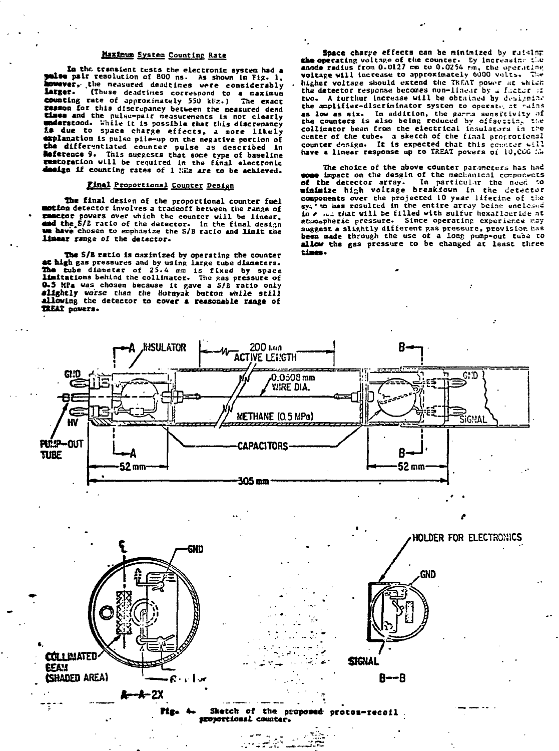## Maximum System Counting Rate

In the transient tests the electronic system had a<br>paise pair resolution of 800 ns. As shown in Fiz. 1,<br>powerer, the measured deadtimes were considerably larger. (These deadtimes correspond to a maximum counting rate of approximately 550 kHz.) The exact reason for this discrepancy between the measured dend Elmes not this uiscrepancy occurent the measurements<br>
understood. While it is possible chat this discrepancy<br>
is due to space charge effects, a more likely explanation is pulse pile-up on the negative portion of<br>the differentiated counter pulse as described in<br>Reference 9. This suggests that some type of baseline restoration will be required in the final electronic dealgo if counting rates of 1 hiz are to be achieved.

### Final Proportional Counter Design

The final design of the proportional counter fuel motion detector involves a tradeoff between the range of seactor powers over which the counter will be linear. and the S/B ratio of the detector. In the final design t have chosen to emphasize the S/B ratio and limit the linear range of the detector.

The S/B ratio is maximized by operating the counter at high gas pressures and by using large tube diameters. The tube diameter of 25.4 mm is fixed by space limitations behind the collimator. The gas pressure of 0.5 MPa was chosen because it gave a S/B ratio only alightly worse than the Hornyak button while still<br>allowing the detector to cover a reasonable range of TREAT povers.

Space charge effects can be minimized by ruising the operating voltage of the counter. By Increasing the ande radius from 0.0127 cm to 0.0254 cm, the operating voltage will increase to approximately 6000 volts. The higher voltage should extend the TREAT power at which the detector response becomes non-linear by a factor in two. A furthur increase will be obtained by designing the amplifier-discriminator system to operate at rains as low as six. In addition, the garma sensitivity of<br>the counters is also being reduced by offsocial the<br>collimator bean from the electrical insulators in the center of the tube. a sketch of the final proprotional<br>counter design. It is expected that this counter will<br>have a linear response up to TREAT powers of 10,000 in

The choice of the above counter parameters has had<br>some impact on the desgin of the mechanical components of the detector array. In particular the nucl to components over the projected 10 year lifetime of the<br>sy. 'm has resulted in the entire array being enclosed in a mit that will be filled with sulfur hexaflouride at atmospheric pressure. Since operating experience may suspect a slightly different gas pressure, provision has<br>been made through the use of a long pump-out tube to allow the gas pressure to be changed at least three elmon.